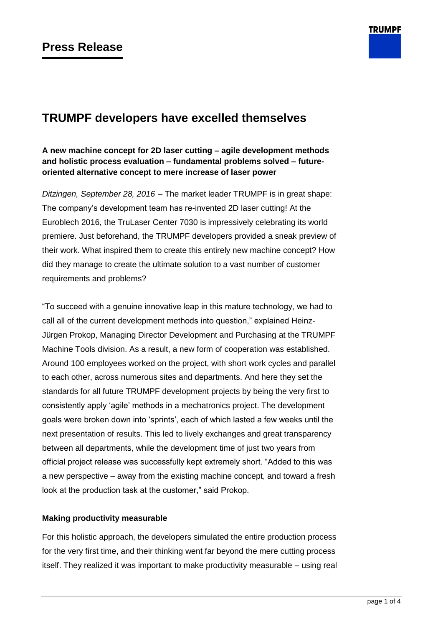

# **TRUMPF developers have excelled themselves**

## **A new machine concept for 2D laser cutting – agile development methods and holistic process evaluation – fundamental problems solved – futureoriented alternative concept to mere increase of laser power**

*Ditzingen, September 28, 2016* – The market leader TRUMPF is in great shape: The company's development team has re-invented 2D laser cutting! At the Euroblech 2016, the TruLaser Center 7030 is impressively celebrating its world premiere. Just beforehand, the TRUMPF developers provided a sneak preview of their work. What inspired them to create this entirely new machine concept? How did they manage to create the ultimate solution to a vast number of customer requirements and problems?

"To succeed with a genuine innovative leap in this mature technology, we had to call all of the current development methods into question," explained Heinz-Jürgen Prokop, Managing Director Development and Purchasing at the TRUMPF Machine Tools division. As a result, a new form of cooperation was established. Around 100 employees worked on the project, with short work cycles and parallel to each other, across numerous sites and departments. And here they set the standards for all future TRUMPF development projects by being the very first to consistently apply 'agile' methods in a mechatronics project. The development goals were broken down into 'sprints', each of which lasted a few weeks until the next presentation of results. This led to lively exchanges and great transparency between all departments, while the development time of just two years from official project release was successfully kept extremely short. "Added to this was a new perspective – away from the existing machine concept, and toward a fresh look at the production task at the customer," said Prokop.

## **Making productivity measurable**

For this holistic approach, the developers simulated the entire production process for the very first time, and their thinking went far beyond the mere cutting process itself. They realized it was important to make productivity measurable – using real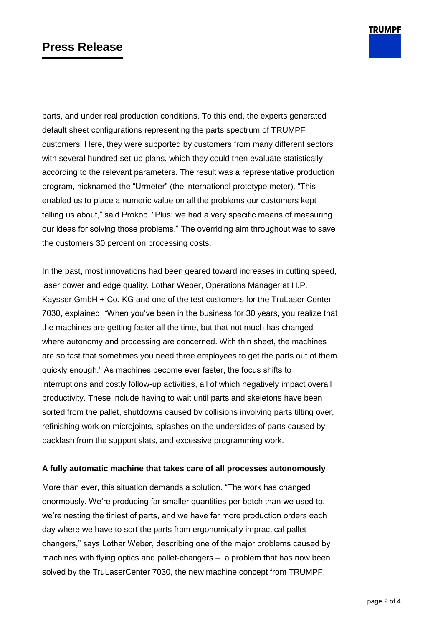# **Press Release**

parts, and under real production conditions. To this end, the experts generated default sheet configurations representing the parts spectrum of TRUMPF customers. Here, they were supported by customers from many different sectors with several hundred set-up plans, which they could then evaluate statistically according to the relevant parameters. The result was a representative production program, nicknamed the "Urmeter" (the international prototype meter). "This enabled us to place a numeric value on all the problems our customers kept telling us about," said Prokop. "Plus: we had a very specific means of measuring our ideas for solving those problems." The overriding aim throughout was to save the customers 30 percent on processing costs.

In the past, most innovations had been geared toward increases in cutting speed, laser power and edge quality. Lothar Weber, Operations Manager at H.P. Kaysser GmbH + Co. KG and one of the test customers for the TruLaser Center 7030, explained: "When you've been in the business for 30 years, you realize that the machines are getting faster all the time, but that not much has changed where autonomy and processing are concerned. With thin sheet, the machines are so fast that sometimes you need three employees to get the parts out of them quickly enough." As machines become ever faster, the focus shifts to interruptions and costly follow-up activities, all of which negatively impact overall productivity. These include having to wait until parts and skeletons have been sorted from the pallet, shutdowns caused by collisions involving parts tilting over, refinishing work on microjoints, splashes on the undersides of parts caused by backlash from the support slats, and excessive programming work.

### **A fully automatic machine that takes care of all processes autonomously**

More than ever, this situation demands a solution. "The work has changed enormously. We're producing far smaller quantities per batch than we used to, we're nesting the tiniest of parts, and we have far more production orders each day where we have to sort the parts from ergonomically impractical pallet changers," says Lothar Weber, describing one of the major problems caused by machines with flying optics and pallet-changers – a problem that has now been solved by the TruLaserCenter 7030, the new machine concept from TRUMPF.

**TRUMPF**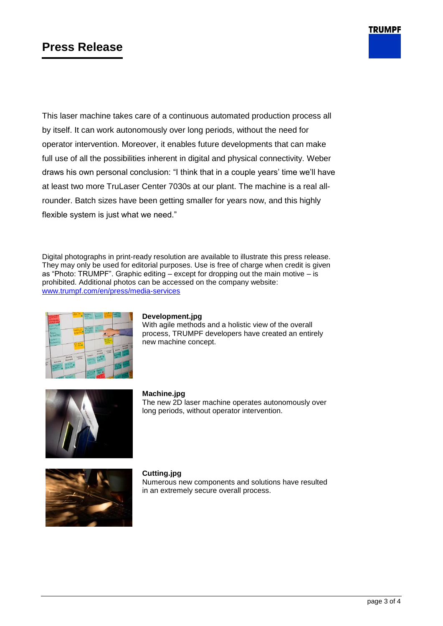# **Press Release**

This laser machine takes care of a continuous automated production process all by itself. It can work autonomously over long periods, without the need for operator intervention. Moreover, it enables future developments that can make full use of all the possibilities inherent in digital and physical connectivity. Weber draws his own personal conclusion: "I think that in a couple years' time we'll have at least two more TruLaser Center 7030s at our plant. The machine is a real allrounder. Batch sizes have been getting smaller for years now, and this highly flexible system is just what we need."

Digital photographs in print-ready resolution are available to illustrate this press release. They may only be used for editorial purposes. Use is free of charge when credit is given as "Photo: TRUMPF". Graphic editing – except for dropping out the main motive – is prohibited. Additional photos can be accessed on the company website: [www.trumpf.com/en/press/media-services](http://www.trumpf.com/en/press/media-services)



#### **Development.jpg**

With agile methods and a holistic view of the overall process, TRUMPF developers have created an entirely new machine concept.



### **Machine.jpg**

The new 2D laser machine operates autonomously over long periods, without operator intervention.



#### **Cutting.jpg**

Numerous new components and solutions have resulted in an extremely secure overall process.

**TRUMPF**